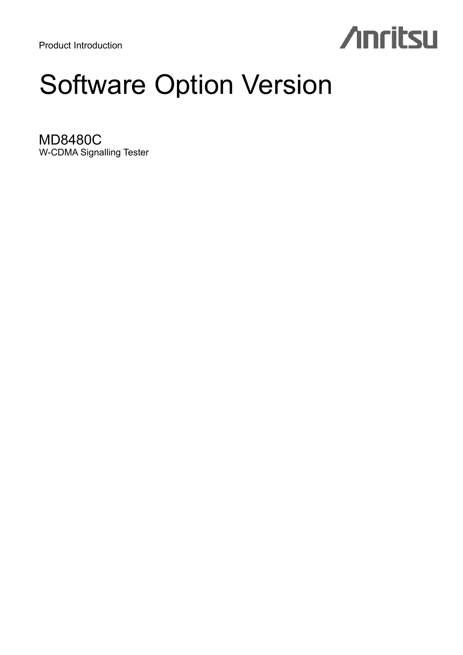Product Introduction

# **Anritsu**

## Software Option Version

MD8480C W-CDMA Signalling Tester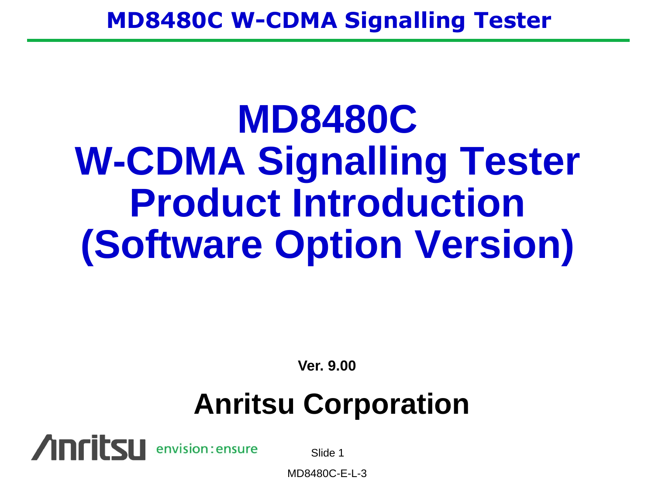# **MD8480C W-CDMA Signalling Tester Product Introduction (Software Option Version)**

**Ver. 9.00**

## **Anritsu Corporation**



Slide 1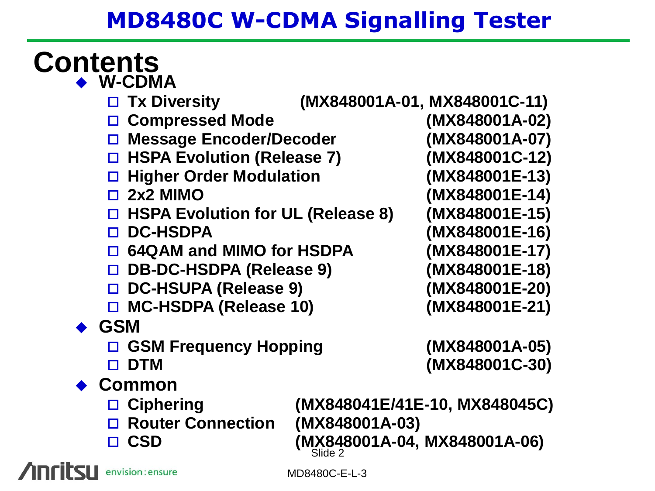#### **Contents W-CDMA**

- **Tx Diversity (MX848001A-01, MX848001C-11)**
- **Compressed Mode (MX848001A-02)**
- **Message Encoder/Decoder (MX848001A-07)**
- **HSPA Evolution (Release 7) (MX848001C-12)**
- **Higher Order Modulation (MX848001E-13)**
- 
- **HSPA Evolution for UL (Release 8) (MX848001E-15)**
- 
- **64QAM and MIMO for HSDPA (MX848001E-17)**
- **DB-DC-HSDPA (Release 9) (MX848001E-18)**
- **DC-HSUPA (Release 9) (MX848001E-20)**
- **MC-HSDPA (Release 10) (MX848001E-21)**
- **GSM**
	- **GSM Frequency Hopping (MX848001A-05)**
	-
- **Common**
	-
	- **Router Connection (MX848001A-03)**
	-

Slide 2 **Ciphering (MX848041E/41E-10, MX848045C) CSD (MX848001A-04, MX848001A-06)**

 **2x2 MIMO (MX848001E-14) DC-HSDPA (MX848001E-16)**

**DTM (MX848001C-30)**

envision: ensure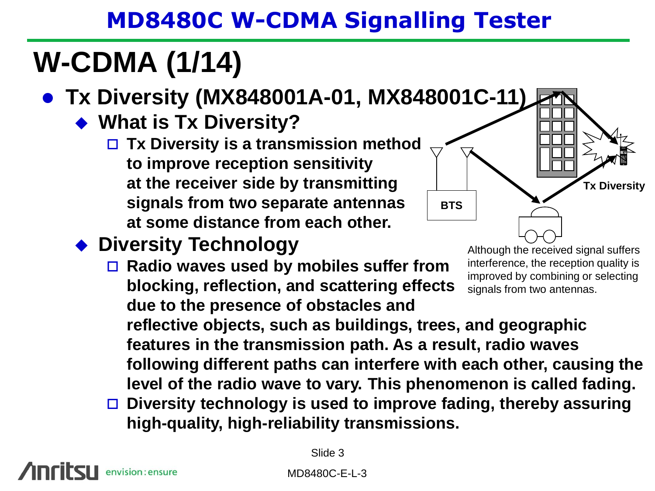## **W-CDMA (1/14)**

- **Tx Diversity (MX848001A-01, MX848001C-11)**
	- **What is Tx Diversity?**
		- **Tx Diversity is a transmission method to improve reception sensitivity at the receiver side by transmitting signals from two separate antennas at some distance from each other.**

#### **Diversity Technology**

 **Radio waves used by mobiles suffer from blocking, reflection, and scattering effects due to the presence of obstacles and** 

Although the received signal suffers interference, the reception quality is improved by combining or selecting signals from two antennas.

1 2 3 4 5 6 7 8 9

**Tx Diversity**

**reflective objects, such as buildings, trees, and geographic features in the transmission path. As a result, radio waves following different paths can interfere with each other, causing the level of the radio wave to vary. This phenomenon is called fading.**

**BTS**

 **Diversity technology is used to improve fading, thereby assuring high-quality, high-reliability transmissions.**

nvision: ensure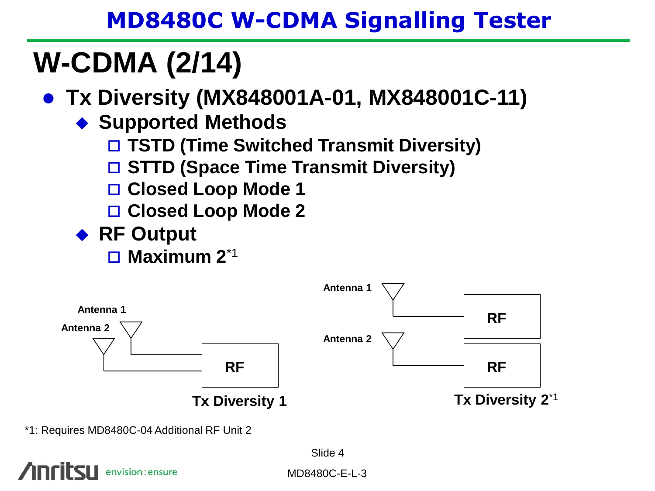## **W-CDMA (2/14)**

- **Tx Diversity (MX848001A-01, MX848001C-11)**
	- **Supported Methods**
		- **TSTD (Time Switched Transmit Diversity)**
		- **STTD (Space Time Transmit Diversity)**
		- **Closed Loop Mode 1**
		- **Closed Loop Mode 2**
	- ◆ RF Output
		- **Maximum 2**\*1



<sup>\*1:</sup> Requires MD8480C-04 Additional RF Unit 2

Slide 4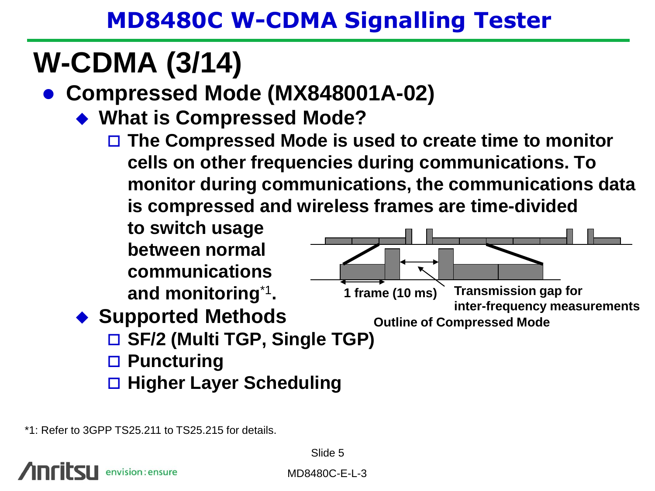## **W-CDMA (3/14)**

- **Compressed Mode (MX848001A-02)**
	- **What is Compressed Mode?**
		- **The Compressed Mode is used to create time to monitor cells on other frequencies during communications. To monitor during communications, the communications data is compressed and wireless frames are time-divided**

**to switch usage between normal communications and monitoring**\*1 **.** ◆ Supported Methods **SF/2 (Multi TGP, Single TGP) Puncturing Higher Layer Scheduling 1 frame (10 ms) Transmission gap for inter-frequency measurements Outline of Compressed Mode**

\*1: Refer to 3GPP TS25.211 to TS25.215 for details.

envision: ensure

Slide 5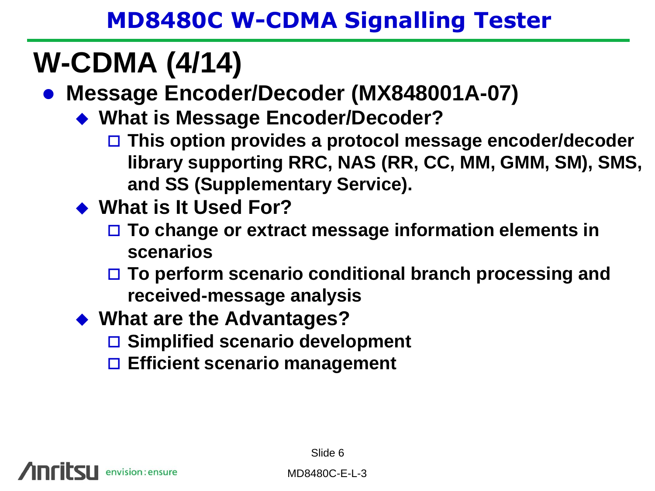## **W-CDMA (4/14)**

**Message Encoder/Decoder (MX848001A-07)**

- ◆ What is Message Encoder/Decoder?
	- **This option provides a protocol message encoder/decoder library supporting RRC, NAS (RR, CC, MM, GMM, SM), SMS, and SS (Supplementary Service).**
- **What is It Used For?**
	- **To change or extract message information elements in scenarios**
	- **To perform scenario conditional branch processing and received-message analysis**
- **What are the Advantages?**
	- **Simplified scenario development**
	- **Efficient scenario management**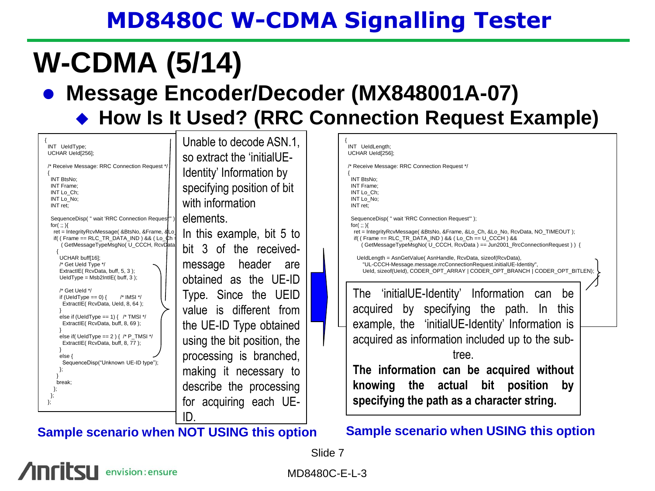## **W-CDMA (5/14)**

#### **Message Encoder/Decoder (MX848001A-07)**

#### ◆ How Is It Used? (RRC Connection Request Example)



#### **Sample scenario when NOT USING this option Sample scenario when USING this option**

Slide 7

envision: ensure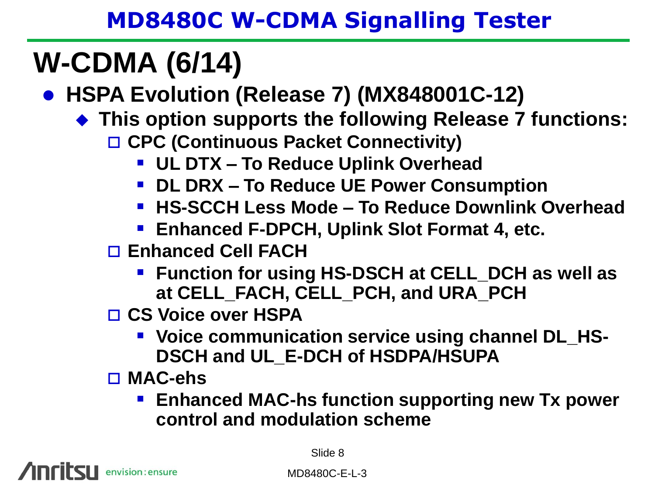## **W-CDMA (6/14)**

**HSPA Evolution (Release 7) (MX848001C-12)**

- **This option supports the following Release 7 functions:**
	- **CPC (Continuous Packet Connectivity)**
		- **UL DTX – To Reduce Uplink Overhead**
		- **DL DRX – To Reduce UE Power Consumption**
		- **HS-SCCH Less Mode – To Reduce Downlink Overhead**
		- **Enhanced F-DPCH, Uplink Slot Format 4, etc.**

**Enhanced Cell FACH**

- **Function for using HS-DSCH at CELL\_DCH as well as at CELL\_FACH, CELL\_PCH, and URA\_PCH**
- **CS Voice over HSPA** 
	- **Voice communication service using channel DL\_HS-DSCH and UL\_E-DCH of HSDPA/HSUPA**

**MAC-ehs**

**Enhanced MAC-hs function supporting new Tx power control and modulation scheme**

envision: ensure

Slide 8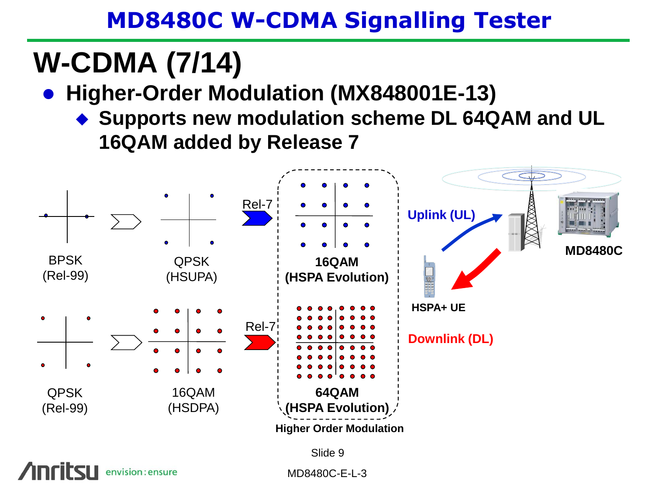## **W-CDMA (7/14)**

**Higher-Order Modulation (MX848001E-13)**

◆ Supports new modulation scheme DL 64QAM and UL **16QAM added by Release 7**



envision: ensure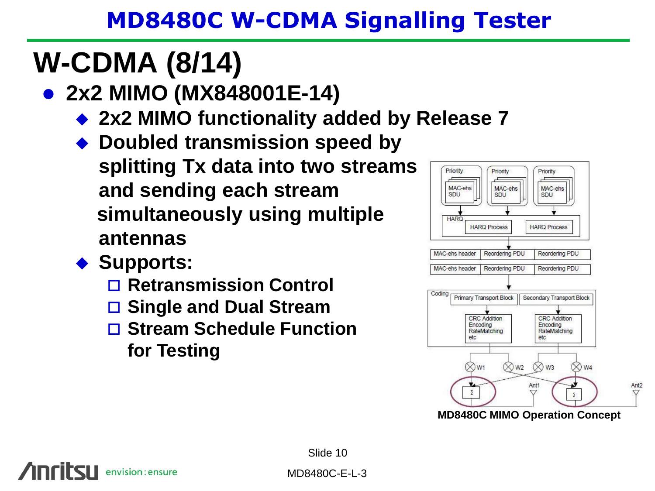## **W-CDMA (8/14)**

- **2x2 MIMO (MX848001E-14)**
	- ◆ 2x2 MIMO functionality added by Release 7
	- ◆ Doubled transmission speed by **splitting Tx data into two streams and sending each stream simultaneously using multiple antennas**
	- ◆ Supports:

envision: ensure

- **Retransmission Control**
- **Single and Dual Stream**
- □ Stream Schedule Function **for Testing**



Slide 10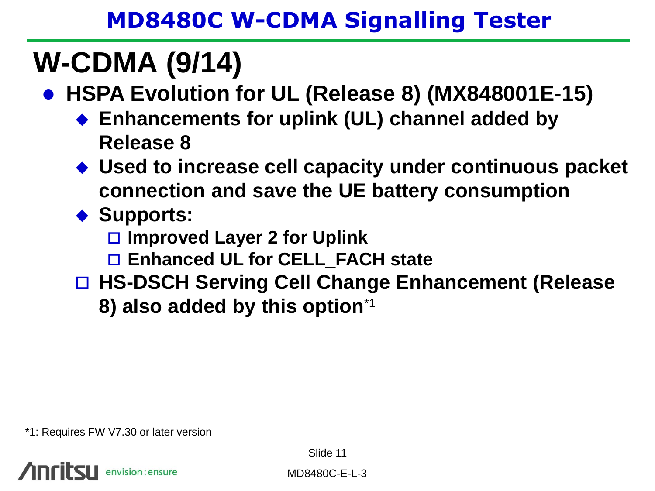## **W-CDMA (9/14)**

- **HSPA Evolution for UL (Release 8) (MX848001E-15)**
	- **Enhancements for uplink (UL) channel added by Release 8**
	- **Used to increase cell capacity under continuous packet connection and save the UE battery consumption**
	- ◆ Supports:
		- **Improved Layer 2 for Uplink**
		- **Enhanced UL for CELL\_FACH state**
	- **HS-DSCH Serving Cell Change Enhancement (Release 8) also added by this option**\*1

\*1: Requires FW V7.30 or later version

envision: ensure

Slide 11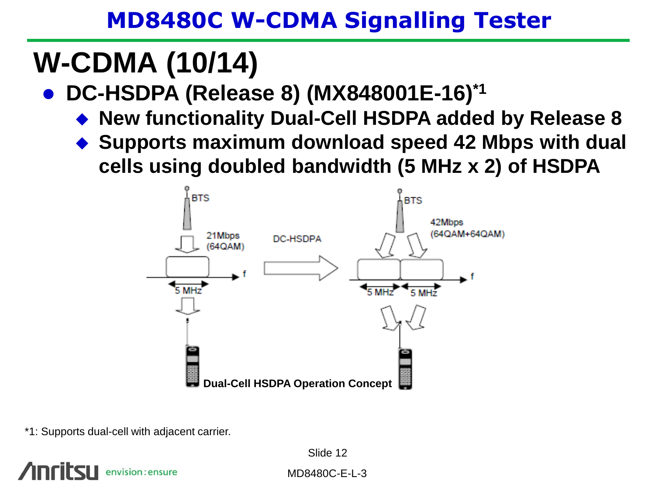## **W-CDMA (10/14)**

- **DC-HSDPA (Release 8) (MX848001E-16)\*1**
	- **New functionality Dual-Cell HSDPA added by Release 8**
	- **Supports maximum download speed 42 Mbps with dual cells using doubled bandwidth (5 MHz x 2) of HSDPA**



\*1: Supports dual-cell with adjacent carrier.

envision : ensure

Slide 12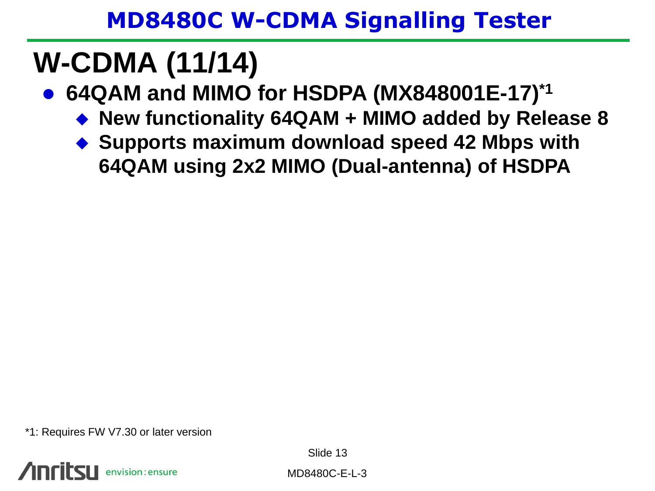## **W-CDMA (11/14)**

- **64QAM and MIMO for HSDPA (MX848001E-17)\*1**
	- **New functionality 64QAM + MIMO added by Release 8**
	- ◆ Supports maximum download speed 42 Mbps with **64QAM using 2x2 MIMO (Dual-antenna) of HSDPA**

\*1: Requires FW V7.30 or later version



Slide 13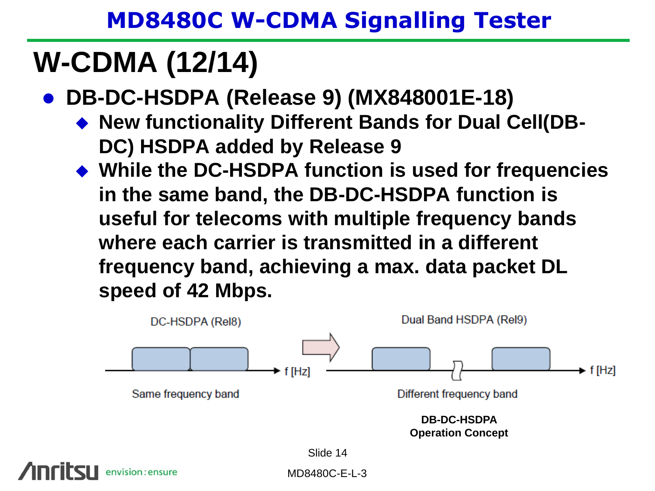## **W-CDMA (12/14)**

- **DB-DC-HSDPA (Release 9) (MX848001E-18)**
	- **New functionality Different Bands for Dual Cell(DB-DC) HSDPA added by Release 9**
	- **While the DC-HSDPA function is used for frequencies in the same band, the DB-DC-HSDPA function is useful for telecoms with multiple frequency bands where each carrier is transmitted in a different frequency band, achieving a max. data packet DL speed of 42 Mbps.**



envision : ensure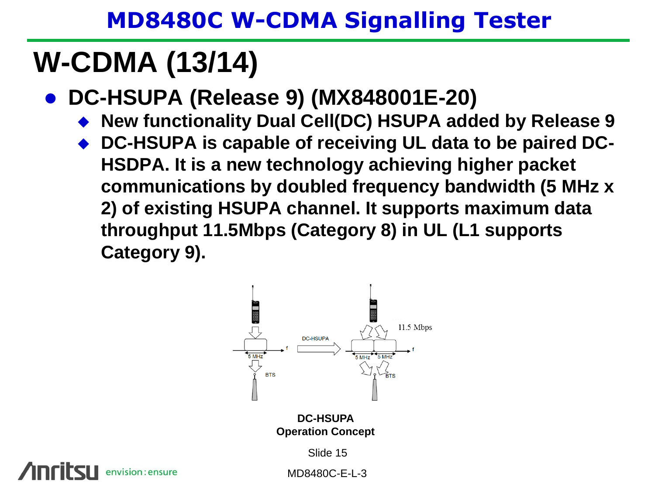## **W-CDMA (13/14)**

- **DC-HSUPA (Release 9) (MX848001E-20)**
	- **New functionality Dual Cell(DC) HSUPA added by Release 9**
	- ◆ DC-HSUPA is capable of receiving UL data to be paired DC-**HSDPA. It is a new technology achieving higher packet communications by doubled frequency bandwidth (5 MHz x 2) of existing HSUPA channel. It supports maximum data throughput 11.5Mbps (Category 8) in UL (L1 supports Category 9).**



**Operation Concept**

Slide 15

envision: ensure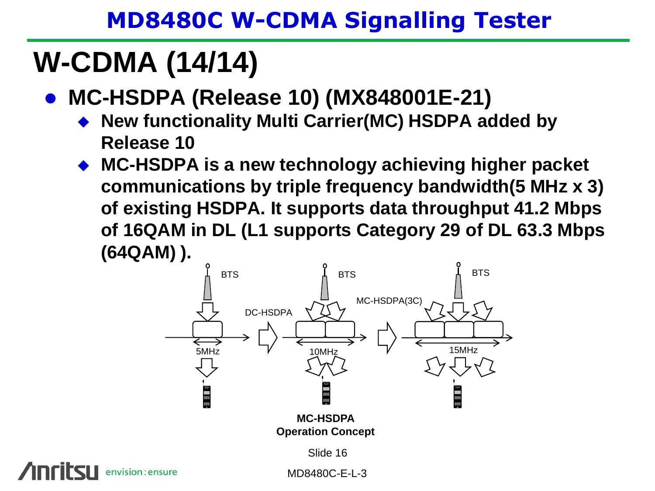## **W-CDMA (14/14)**

- **MC-HSDPA (Release 10) (MX848001E-21)**
	- **New functionality Multi Carrier(MC) HSDPA added by Release 10**
	- **MC-HSDPA is a new technology achieving higher packet communications by triple frequency bandwidth(5 MHz x 3) of existing HSDPA. It supports data throughput 41.2 Mbps of 16QAM in DL (L1 supports Category 29 of DL 63.3 Mbps (64QAM) ).**



envision : ensure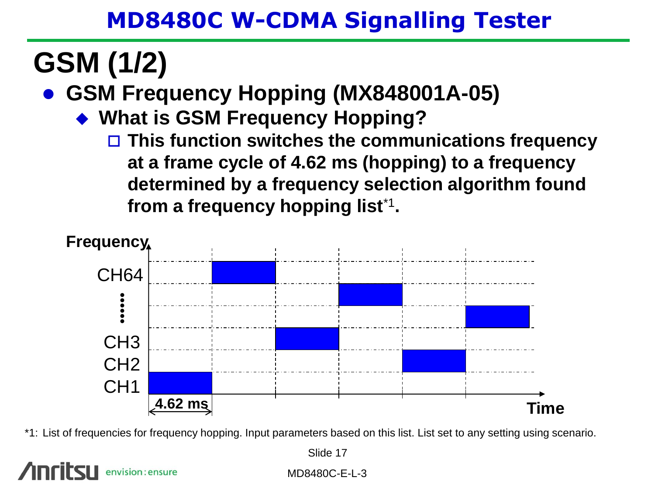## **GSM (1/2)**

**GSM Frequency Hopping (MX848001A-05)**

- **What is GSM Frequency Hopping?**
	- **This function switches the communications frequency at a frame cycle of 4.62 ms (hopping) to a frequency determined by a frequency selection algorithm found from a frequency hopping list**\*1 **.**



\*1: List of frequencies for frequency hopping. Input parameters based on this list. List set to any setting using scenario.

nvision: ensure

Slide 17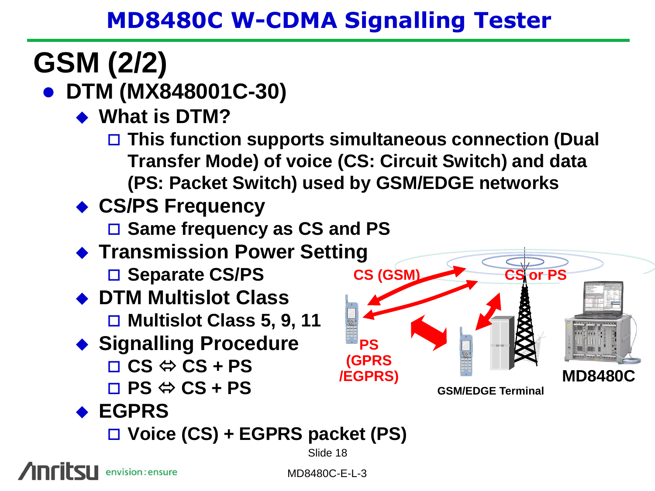# **GSM (2/2)**

## **DTM (MX848001C-30)**

- ◆ What is **DTM?** 
	- **This function supports simultaneous connection (Dual Transfer Mode) of voice (CS: Circuit Switch) and data (PS: Packet Switch) used by GSM/EDGE networks**
- **CS/PS Frequency**
	- **Same frequency as CS and PS**
- ◆ Transmission Power Setting
	- □ Separate CS/PS
- **DTM Multislot Class**
	- **Multislot Class 5, 9, 11**
- **Signalling Procedure**  $\Box$  CS  $\Leftrightarrow$  CS + PS
	- $\Box$  PS  $\Leftrightarrow$  CS + PS

**CS (GSM) PS (GPRS /EGPRS) MD8480C CS or PS**

**GSM/EDGE Terminal**

### **EGPRS**

**Voice (CS) + EGPRS packet (PS)** 

Slide 18

envision: ensure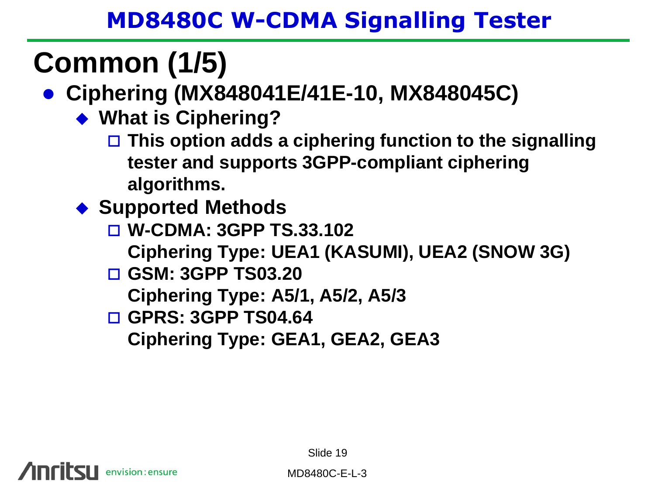## **Common (1/5)**

## **Ciphering (MX848041E/41E-10, MX848045C)**

- **What is Ciphering?**
	- **This option adds a ciphering function to the signalling tester and supports 3GPP-compliant ciphering algorithms.**
- ◆ Supported Methods
	- **W-CDMA: 3GPP TS.33.102 Ciphering Type: UEA1 (KASUMI), UEA2 (SNOW 3G)**
	- **GSM: 3GPP TS03.20**
		- **Ciphering Type: A5/1, A5/2, A5/3**
	- **GPRS: 3GPP TS04.64**

**Ciphering Type: GEA1, GEA2, GEA3**

envision: ensure

Slide 19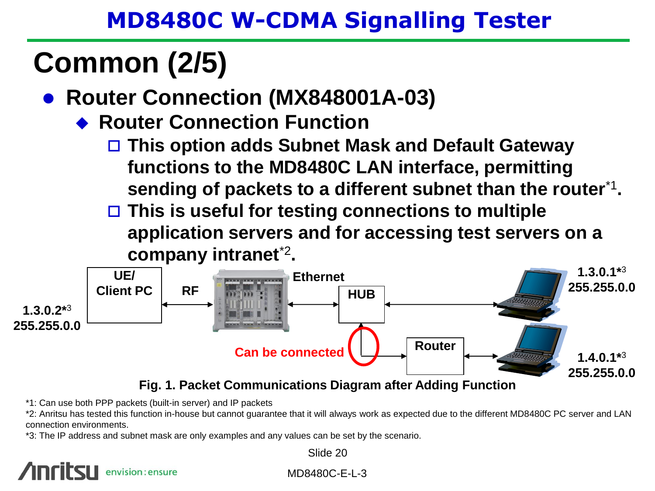## **Common (2/5)**

- **Router Connection (MX848001A-03)**
	- **Router Connection Function**
		- **This option adds Subnet Mask and Default Gateway functions to the MD8480C LAN interface, permitting sending of packets to a different subnet than the router**\*1 **.**
		- **This is useful for testing connections to multiple application servers and for accessing test servers on a company intranet**\*2 **.**



**Fig. 1. Packet Communications Diagram after Adding Function**

\*1: Can use both PPP packets (built-in server) and IP packets

\*2: Anritsu has tested this function in-house but cannot guarantee that it will always work as expected due to the different MD8480C PC server and LAN connection environments.

\*3: The IP address and subnet mask are only examples and any values can be set by the scenario.

### envision: ensure

Slide 20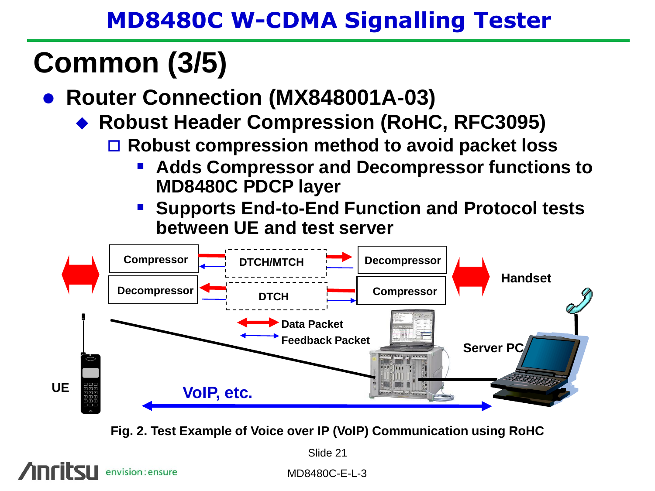## **Common (3/5)**

- **Router Connection (MX848001A-03)**
	- **Robust Header Compression (RoHC, RFC3095)**
		- **Robust compression method to avoid packet loss** 
			- **Adds Compressor and Decompressor functions to MD8480C PDCP layer**
			- **Supports End-to-End Function and Protocol tests between UE and test server**



**Fig. 2. Test Example of Voice over IP (VoIP) Communication using RoHC**

Slide 21

envision: ensure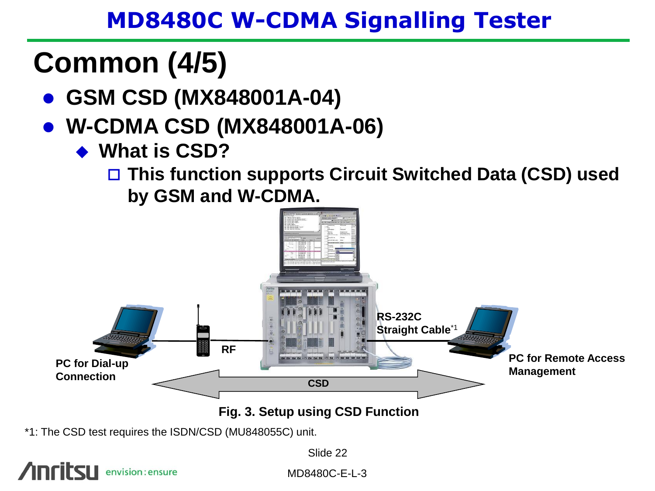## **Common (4/5)**

- **GSM CSD (MX848001A-04)**
- **W-CDMA CSD (MX848001A-06)**
	- **What is CSD?**

 **This function supports Circuit Switched Data (CSD) used by GSM and W-CDMA.**



\*1: The CSD test requires the ISDN/CSD (MU848055C) unit.

Slide 22

envision: ensure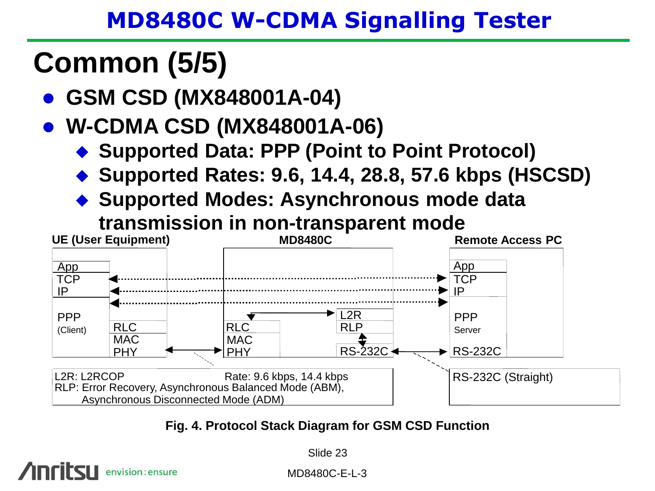## **Common (5/5)**

envision: ensure

**GSM CSD (MX848001A-04)**

## **W-CDMA CSD (MX848001A-06)**

- ◆ Supported Data: PPP (Point to Point Protocol)
- **Supported Rates: 9.6, 14.4, 28.8, 57.6 kbps (HSCSD)**
- **Supported Modes: Asynchronous mode data transmission in non-transparent mode**



**Fig. 4. Protocol Stack Diagram for GSM CSD Function**

Slide 23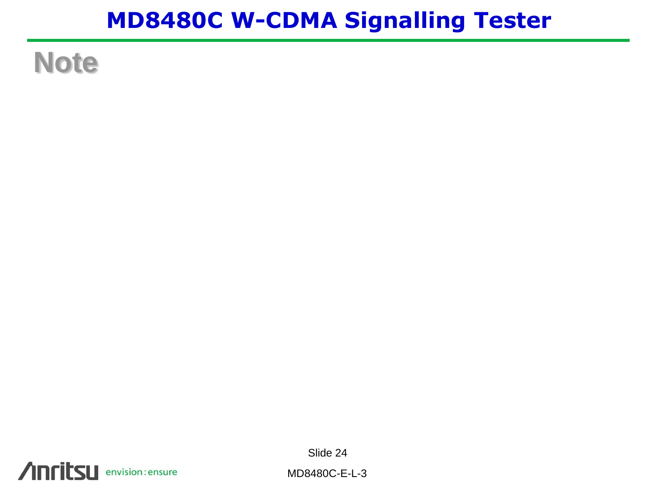## **Note**

Slide 24

**Anritsu** envision: ensure